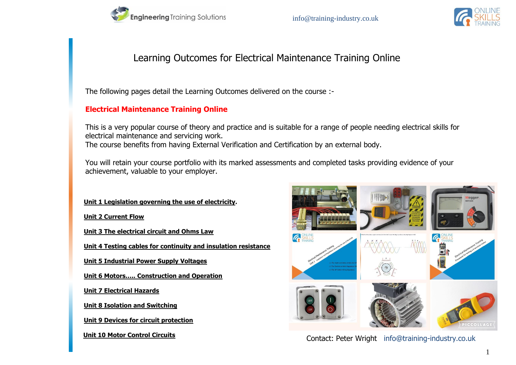

# Learning Outcomes for Electrical Maintenance Training Online

The following pages detail the Learning Outcomes delivered on the course :-

## **Electrical Maintenance Training Online**

This is a very popular course of theory and practice and is suitable for a range of people needing electrical skills for electrical maintenance and servicing work. The course benefits from having External Verification and Certification by an external body.

You will retain your course portfolio with its marked assessments and completed tasks providing evidence of your achievement, valuable to your employer.

#### **Unit 1 Legislation governing the use of electricity.**

**Unit 2 Current Flow**

**Unit 3 The electrical circuit and Ohms Law**

**Unit 4 Testing cables for continuity and insulation resistance**

**Unit 5 Industrial Power Supply Voltages**

**Unit 6 Motors….. Construction and Operation**

**Unit 7 Electrical Hazards**

**Unit 8 Isolation and Switching**

**Unit 9 Devices for circuit protection**

 **Unit 10 Motor Control Circuits**



Contact: Peter Wright info@training-industry.co.uk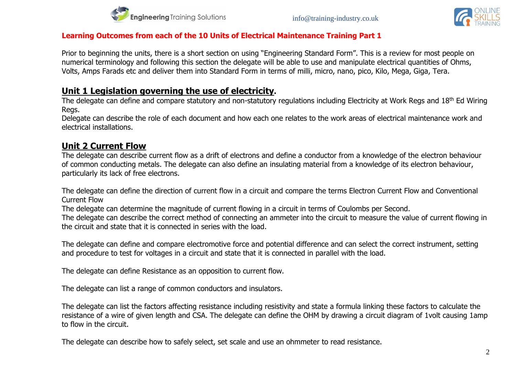



#### **Learning Outcomes from each of the 10 Units of Electrical Maintenance Training Part 1**

Prior to beginning the units, there is a short section on using "Engineering Standard Form". This is a review for most people on numerical terminology and following this section the delegate will be able to use and manipulate electrical quantities of Ohms, Volts, Amps Farads etc and deliver them into Standard Form in terms of milli, micro, nano, pico, Kilo, Mega, Giga, Tera.

## **Unit 1 Legislation governing the use of electricity.**

The delegate can define and compare statutory and non-statutory regulations including Electricity at Work Regs and 18<sup>th</sup> Ed Wiring Regs.

Delegate can describe the role of each document and how each one relates to the work areas of electrical maintenance work and electrical installations.

# **Unit 2 Current Flow**

The delegate can describe current flow as a drift of electrons and define a conductor from a knowledge of the electron behaviour of common conducting metals. The delegate can also define an insulating material from a knowledge of its electron behaviour, particularly its lack of free electrons.

The delegate can define the direction of current flow in a circuit and compare the terms Electron Current Flow and Conventional Current Flow

The delegate can determine the magnitude of current flowing in a circuit in terms of Coulombs per Second.

The delegate can describe the correct method of connecting an ammeter into the circuit to measure the value of current flowing in the circuit and state that it is connected in series with the load.

The delegate can define and compare electromotive force and potential difference and can select the correct instrument, setting and procedure to test for voltages in a circuit and state that it is connected in parallel with the load.

The delegate can define Resistance as an opposition to current flow.

The delegate can list a range of common conductors and insulators.

The delegate can list the factors affecting resistance including resistivity and state a formula linking these factors to calculate the resistance of a wire of given length and CSA. The delegate can define the OHM by drawing a circuit diagram of 1volt causing 1amp to flow in the circuit.

The delegate can describe how to safely select, set scale and use an ohmmeter to read resistance.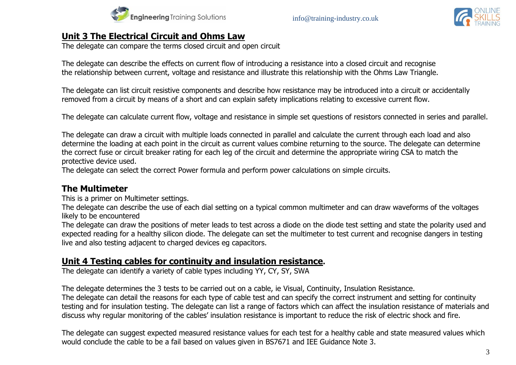



# **Unit 3 The Electrical Circuit and Ohms Law**

The delegate can compare the terms closed circuit and open circuit

The delegate can describe the effects on current flow of introducing a resistance into a closed circuit and recognise the relationship between current, voltage and resistance and illustrate this relationship with the Ohms Law Triangle.

The delegate can list circuit resistive components and describe how resistance may be introduced into a circuit or accidentally removed from a circuit by means of a short and can explain safety implications relating to excessive current flow.

The delegate can calculate current flow, voltage and resistance in simple set questions of resistors connected in series and parallel.

The delegate can draw a circuit with multiple loads connected in parallel and calculate the current through each load and also determine the loading at each point in the circuit as current values combine returning to the source. The delegate can determine the correct fuse or circuit breaker rating for each leg of the circuit and determine the appropriate wiring CSA to match the protective device used.

The delegate can select the correct Power formula and perform power calculations on simple circuits.

# **The Multimeter**

This is a primer on Multimeter settings.

The delegate can describe the use of each dial setting on a typical common multimeter and can draw waveforms of the voltages likely to be encountered

The delegate can draw the positions of meter leads to test across a diode on the diode test setting and state the polarity used and expected reading for a healthy silicon diode. The delegate can set the multimeter to test current and recognise dangers in testing live and also testing adjacent to charged devices eg capacitors.

## **Unit 4 Testing cables for continuity and insulation resistance.**

The delegate can identify a variety of cable types including YY, CY, SY, SWA

The delegate determines the 3 tests to be carried out on a cable, ie Visual, Continuity, Insulation Resistance.

The delegate can detail the reasons for each type of cable test and can specify the correct instrument and setting for continuity testing and for insulation testing. The delegate can list a range of factors which can affect the insulation resistance of materials and discuss why regular monitoring of the cables' insulation resistance is important to reduce the risk of electric shock and fire.

The delegate can suggest expected measured resistance values for each test for a healthy cable and state measured values which would conclude the cable to be a fail based on values given in BS7671 and IEE Guidance Note 3.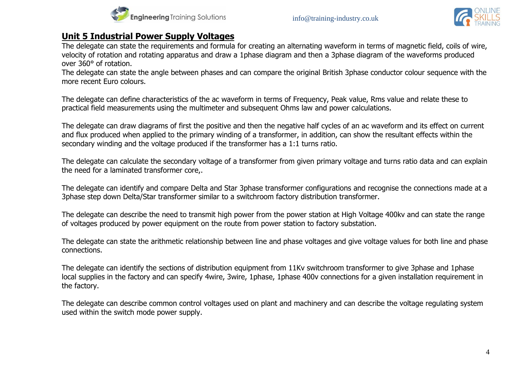



# **Unit 5 Industrial Power Supply Voltages**

The delegate can state the requirements and formula for creating an alternating waveform in terms of magnetic field, coils of wire, velocity of rotation and rotating apparatus and draw a 1phase diagram and then a 3phase diagram of the waveforms produced over 360° of rotation.

The delegate can state the angle between phases and can compare the original British 3phase conductor colour sequence with the more recent Euro colours.

The delegate can define characteristics of the ac waveform in terms of Frequency, Peak value, Rms value and relate these to practical field measurements using the multimeter and subsequent Ohms law and power calculations.

The delegate can draw diagrams of first the positive and then the negative half cycles of an ac waveform and its effect on current and flux produced when applied to the primary winding of a transformer, in addition, can show the resultant effects within the secondary winding and the voltage produced if the transformer has a 1:1 turns ratio.

The delegate can calculate the secondary voltage of a transformer from given primary voltage and turns ratio data and can explain the need for a laminated transformer core,.

The delegate can identify and compare Delta and Star 3phase transformer configurations and recognise the connections made at a 3phase step down Delta/Star transformer similar to a switchroom factory distribution transformer.

The delegate can describe the need to transmit high power from the power station at High Voltage 400kv and can state the range of voltages produced by power equipment on the route from power station to factory substation.

The delegate can state the arithmetic relationship between line and phase voltages and give voltage values for both line and phase connections.

The delegate can identify the sections of distribution equipment from 11Kv switchroom transformer to give 3phase and 1phase local supplies in the factory and can specify 4wire, 3wire, 1phase, 1phase 400v connections for a given installation requirement in the factory.

The delegate can describe common control voltages used on plant and machinery and can describe the voltage regulating system used within the switch mode power supply.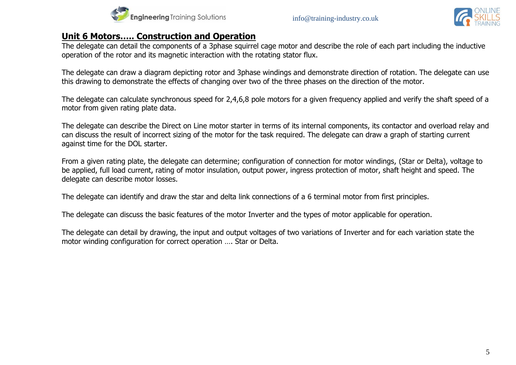



# **Unit 6 Motors….. Construction and Operation**

The delegate can detail the components of a 3phase squirrel cage motor and describe the role of each part including the inductive operation of the rotor and its magnetic interaction with the rotating stator flux.

The delegate can draw a diagram depicting rotor and 3phase windings and demonstrate direction of rotation. The delegate can use this drawing to demonstrate the effects of changing over two of the three phases on the direction of the motor.

The delegate can calculate synchronous speed for 2,4,6,8 pole motors for a given frequency applied and verify the shaft speed of a motor from given rating plate data.

The delegate can describe the Direct on Line motor starter in terms of its internal components, its contactor and overload relay and can discuss the result of incorrect sizing of the motor for the task required. The delegate can draw a graph of starting current against time for the DOL starter.

From a given rating plate, the delegate can determine; configuration of connection for motor windings, (Star or Delta), voltage to be applied, full load current, rating of motor insulation, output power, ingress protection of motor, shaft height and speed. The delegate can describe motor losses.

The delegate can identify and draw the star and delta link connections of a 6 terminal motor from first principles.

The delegate can discuss the basic features of the motor Inverter and the types of motor applicable for operation.

The delegate can detail by drawing, the input and output voltages of two variations of Inverter and for each variation state the motor winding configuration for correct operation …. Star or Delta.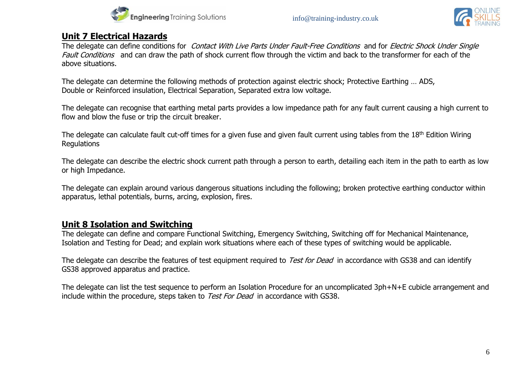



# **Unit 7 Electrical Hazards**

The delegate can define conditions for Contact With Live Parts Under Fault-Free Conditions and for Electric Shock Under Single Fault Conditions and can draw the path of shock current flow through the victim and back to the transformer for each of the above situations.

The delegate can determine the following methods of protection against electric shock; Protective Earthing … ADS, Double or Reinforced insulation, Electrical Separation, Separated extra low voltage.

The delegate can recognise that earthing metal parts provides a low impedance path for any fault current causing a high current to flow and blow the fuse or trip the circuit breaker.

The delegate can calculate fault cut-off times for a given fuse and given fault current using tables from the 18<sup>th</sup> Edition Wiring **Regulations** 

The delegate can describe the electric shock current path through a person to earth, detailing each item in the path to earth as low or high Impedance.

The delegate can explain around various dangerous situations including the following; broken protective earthing conductor within apparatus, lethal potentials, burns, arcing, explosion, fires.

# **Unit 8 Isolation and Switching**

The delegate can define and compare Functional Switching, Emergency Switching, Switching off for Mechanical Maintenance, Isolation and Testing for Dead; and explain work situations where each of these types of switching would be applicable.

The delegate can describe the features of test equipment required to Test for Dead in accordance with GS38 and can identify GS38 approved apparatus and practice.

The delegate can list the test sequence to perform an Isolation Procedure for an uncomplicated 3ph+N+E cubicle arrangement and include within the procedure, steps taken to Test For Dead in accordance with GS38.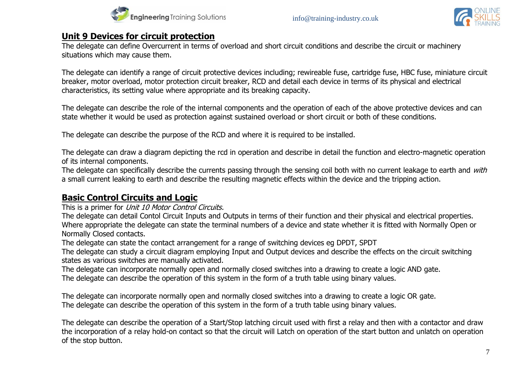



## **Unit 9 Devices for circuit protection**

The delegate can define Overcurrent in terms of overload and short circuit conditions and describe the circuit or machinery situations which may cause them.

The delegate can identify a range of circuit protective devices including; rewireable fuse, cartridge fuse, HBC fuse, miniature circuit breaker, motor overload, motor protection circuit breaker, RCD and detail each device in terms of its physical and electrical characteristics, its setting value where appropriate and its breaking capacity.

The delegate can describe the role of the internal components and the operation of each of the above protective devices and can state whether it would be used as protection against sustained overload or short circuit or both of these conditions.

The delegate can describe the purpose of the RCD and where it is required to be installed.

The delegate can draw a diagram depicting the rcd in operation and describe in detail the function and electro-magnetic operation of its internal components.

The delegate can specifically describe the currents passing through the sensing coil both with no current leakage to earth and with a small current leaking to earth and describe the resulting magnetic effects within the device and the tripping action.

# **Basic Control Circuits and Logic**

This is a primer for Unit 10 Motor Control Circuits.

The delegate can detail Contol Circuit Inputs and Outputs in terms of their function and their physical and electrical properties. Where appropriate the delegate can state the terminal numbers of a device and state whether it is fitted with Normally Open or Normally Closed contacts.

The delegate can state the contact arrangement for a range of switching devices eg DPDT, SPDT

The delegate can study a circuit diagram employing Input and Output devices and describe the effects on the circuit switching states as various switches are manually activated.

The delegate can incorporate normally open and normally closed switches into a drawing to create a logic AND gate. The delegate can describe the operation of this system in the form of a truth table using binary values.

The delegate can incorporate normally open and normally closed switches into a drawing to create a logic OR gate. The delegate can describe the operation of this system in the form of a truth table using binary values.

The delegate can describe the operation of a Start/Stop latching circuit used with first a relay and then with a contactor and draw the incorporation of a relay hold-on contact so that the circuit will Latch on operation of the start button and unlatch on operation of the stop button.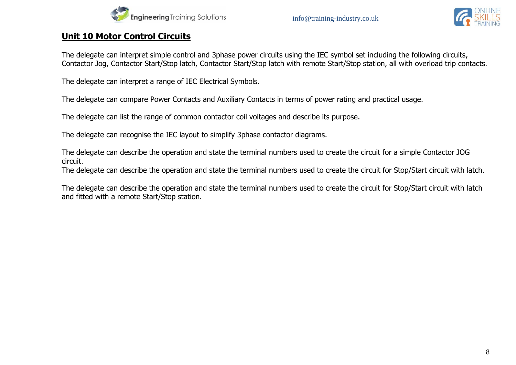



## **Unit 10 Motor Control Circuits**

The delegate can interpret simple control and 3phase power circuits using the IEC symbol set including the following circuits, Contactor Jog, Contactor Start/Stop latch, Contactor Start/Stop latch with remote Start/Stop station, all with overload trip contacts.

The delegate can interpret a range of IEC Electrical Symbols.

The delegate can compare Power Contacts and Auxiliary Contacts in terms of power rating and practical usage.

The delegate can list the range of common contactor coil voltages and describe its purpose.

The delegate can recognise the IEC layout to simplify 3phase contactor diagrams.

The delegate can describe the operation and state the terminal numbers used to create the circuit for a simple Contactor JOG circuit.

The delegate can describe the operation and state the terminal numbers used to create the circuit for Stop/Start circuit with latch.

The delegate can describe the operation and state the terminal numbers used to create the circuit for Stop/Start circuit with latch and fitted with a remote Start/Stop station.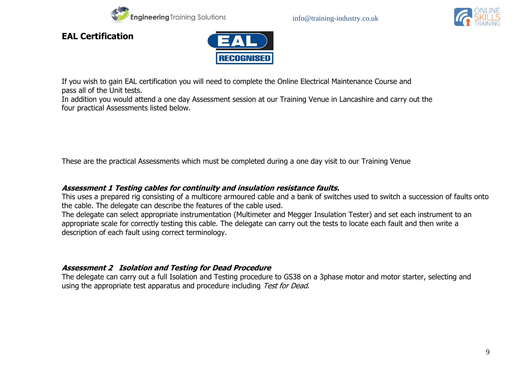



**EAL Certification**



If you wish to gain EAL certification you will need to complete the Online Electrical Maintenance Course and pass all of the Unit tests.

In addition you would attend a one day Assessment session at our Training Venue in Lancashire and carry out the four practical Assessments listed below.

These are the practical Assessments which must be completed during a one day visit to our Training Venue

#### **Assessment 1 Testing cables for continuity and insulation resistance faults.**

This uses a prepared rig consisting of a multicore armoured cable and a bank of switches used to switch a succession of faults onto the cable. The delegate can describe the features of the cable used.

The delegate can select appropriate instrumentation (Multimeter and Megger Insulation Tester) and set each instrument to an appropriate scale for correctly testing this cable. The delegate can carry out the tests to locate each fault and then write a description of each fault using correct terminology.

#### **Assessment 2 Isolation and Testing for Dead Procedure**

The delegate can carry out a full Isolation and Testing procedure to GS38 on a 3phase motor and motor starter, selecting and using the appropriate test apparatus and procedure including Test for Dead.